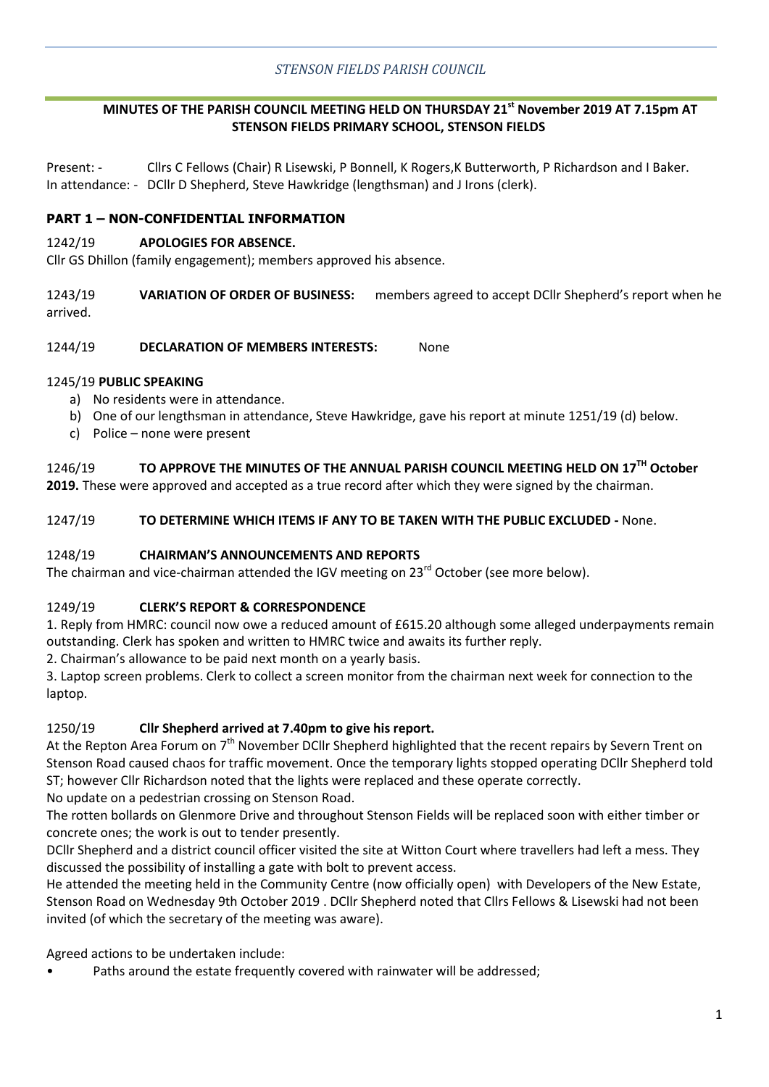# **MINUTES OF THE PARISH COUNCIL MEETING HELD ON THURSDAY 21st November 2019 AT 7.15pm AT STENSON FIELDS PRIMARY SCHOOL, STENSON FIELDS**

Present: - Cllrs C Fellows (Chair) R Lisewski, P Bonnell, K Rogers,K Butterworth, P Richardson and I Baker. In attendance: - DCllr D Shepherd, Steve Hawkridge (lengthsman) and J Irons (clerk).

## **PART 1 – NON-CONFIDENTIAL INFORMATION**

#### 1242/19 **APOLOGIES FOR ABSENCE.**

Cllr GS Dhillon (family engagement); members approved his absence.

1243/19 **VARIATION OF ORDER OF BUSINESS:** members agreed to accept DCllr Shepherd's report when he arrived.

#### 1244/19 **DECLARATION OF MEMBERS INTERESTS:** None

#### 1245/19 **PUBLIC SPEAKING**

- a) No residents were in attendance.
- b) One of our lengthsman in attendance, Steve Hawkridge, gave his report at minute 1251/19 (d) below.
- c) Police none were present

# 1246/19 **TO APPROVE THE MINUTES OF THE ANNUAL PARISH COUNCIL MEETING HELD ON 17TH October**

**2019.** These were approved and accepted as a true record after which they were signed by the chairman.

#### 1247/19 **TO DETERMINE WHICH ITEMS IF ANY TO BE TAKEN WITH THE PUBLIC EXCLUDED -** None.

#### 1248/19 **CHAIRMAN'S ANNOUNCEMENTS AND REPORTS**

The chairman and vice-chairman attended the IGV meeting on 23<sup>rd</sup> October (see more below).

## 1249/19 **CLERK'S REPORT & CORRESPONDENCE**

1. Reply from HMRC: council now owe a reduced amount of £615.20 although some alleged underpayments remain outstanding. Clerk has spoken and written to HMRC twice and awaits its further reply.

2. Chairman's allowance to be paid next month on a yearly basis.

3. Laptop screen problems. Clerk to collect a screen monitor from the chairman next week for connection to the laptop.

## 1250/19 **Cllr Shepherd arrived at 7.40pm to give his report.**

At the Repton Area Forum on 7<sup>th</sup> November DCIIr Shepherd highlighted that the recent repairs by Severn Trent on Stenson Road caused chaos for traffic movement. Once the temporary lights stopped operating DCllr Shepherd told ST; however Cllr Richardson noted that the lights were replaced and these operate correctly.

No update on a pedestrian crossing on Stenson Road.

The rotten bollards on Glenmore Drive and throughout Stenson Fields will be replaced soon with either timber or concrete ones; the work is out to tender presently.

DCllr Shepherd and a district council officer visited the site at Witton Court where travellers had left a mess. They discussed the possibility of installing a gate with bolt to prevent access.

He attended the meeting held in the Community Centre (now officially open) with Developers of the New Estate, Stenson Road on Wednesday 9th October 2019 . DCllr Shepherd noted that Cllrs Fellows & Lisewski had not been invited (of which the secretary of the meeting was aware).

Agreed actions to be undertaken include:

• Paths around the estate frequently covered with rainwater will be addressed;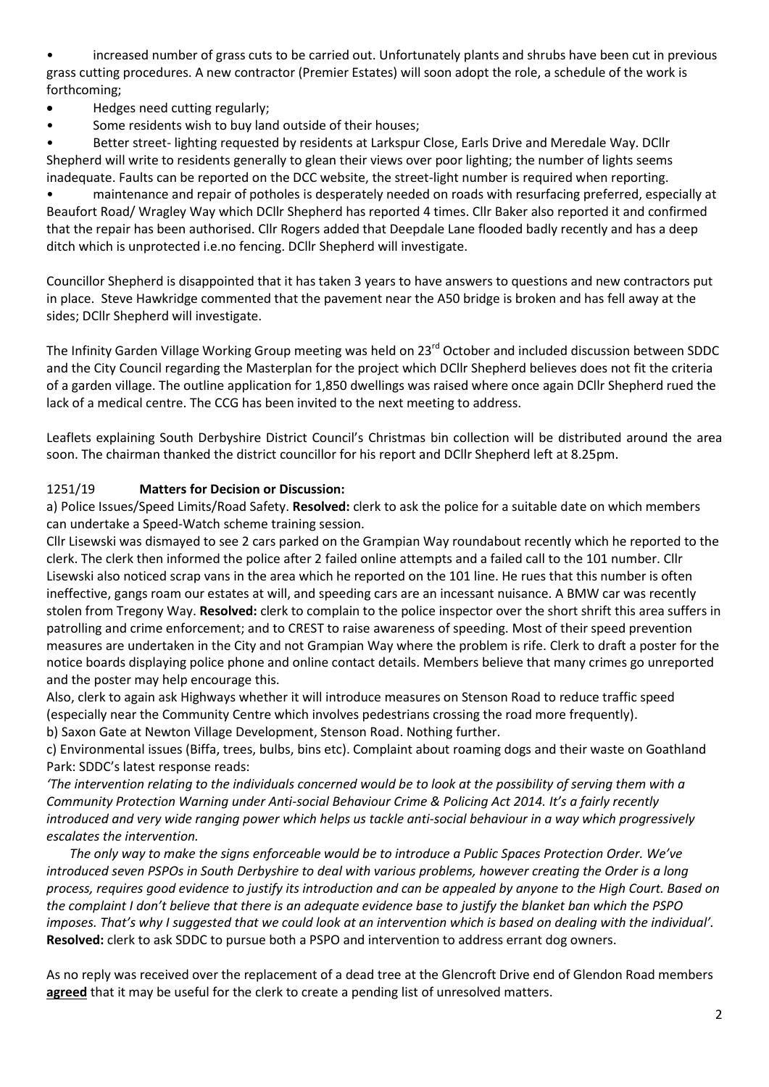• increased number of grass cuts to be carried out. Unfortunately plants and shrubs have been cut in previous grass cutting procedures. A new contractor (Premier Estates) will soon adopt the role, a schedule of the work is forthcoming;

- Hedges need cutting regularly;
- Some residents wish to buy land outside of their houses;

• Better street- lighting requested by residents at Larkspur Close, Earls Drive and Meredale Way. DCllr Shepherd will write to residents generally to glean their views over poor lighting; the number of lights seems inadequate. Faults can be reported on the DCC website, the street-light number is required when reporting.

• maintenance and repair of potholes is desperately needed on roads with resurfacing preferred, especially at Beaufort Road/ Wragley Way which DCllr Shepherd has reported 4 times. Cllr Baker also reported it and confirmed that the repair has been authorised. Cllr Rogers added that Deepdale Lane flooded badly recently and has a deep ditch which is unprotected i.e.no fencing. DCllr Shepherd will investigate.

Councillor Shepherd is disappointed that it has taken 3 years to have answers to questions and new contractors put in place. Steve Hawkridge commented that the pavement near the A50 bridge is broken and has fell away at the sides; DCllr Shepherd will investigate.

The Infinity Garden Village Working Group meeting was held on 23<sup>rd</sup> October and included discussion between SDDC and the City Council regarding the Masterplan for the project which DCllr Shepherd believes does not fit the criteria of a garden village. The outline application for 1,850 dwellings was raised where once again DCllr Shepherd rued the lack of a medical centre. The CCG has been invited to the next meeting to address.

Leaflets explaining South Derbyshire District Council's Christmas bin collection will be distributed around the area soon. The chairman thanked the district councillor for his report and DCllr Shepherd left at 8.25pm.

## 1251/19 **Matters for Decision or Discussion:**

a) Police Issues/Speed Limits/Road Safety. **Resolved:** clerk to ask the police for a suitable date on which members can undertake a Speed-Watch scheme training session.

Cllr Lisewski was dismayed to see 2 cars parked on the Grampian Way roundabout recently which he reported to the clerk. The clerk then informed the police after 2 failed online attempts and a failed call to the 101 number. Cllr Lisewski also noticed scrap vans in the area which he reported on the 101 line. He rues that this number is often ineffective, gangs roam our estates at will, and speeding cars are an incessant nuisance. A BMW car was recently stolen from Tregony Way. **Resolved:** clerk to complain to the police inspector over the short shrift this area suffers in patrolling and crime enforcement; and to CREST to raise awareness of speeding. Most of their speed prevention measures are undertaken in the City and not Grampian Way where the problem is rife. Clerk to draft a poster for the notice boards displaying police phone and online contact details. Members believe that many crimes go unreported and the poster may help encourage this.

Also, clerk to again ask Highways whether it will introduce measures on Stenson Road to reduce traffic speed (especially near the Community Centre which involves pedestrians crossing the road more frequently).

b) Saxon Gate at Newton Village Development, Stenson Road. Nothing further.

c) Environmental issues (Biffa, trees, bulbs, bins etc). Complaint about roaming dogs and their waste on Goathland Park: SDDC's latest response reads:

*'The intervention relating to the individuals concerned would be to look at the possibility of serving them with a Community Protection Warning under Anti-social Behaviour Crime & Policing Act 2014. It's a fairly recently introduced and very wide ranging power which helps us tackle anti-social behaviour in a way which progressively escalates the intervention.*

*The only way to make the signs enforceable would be to introduce a Public Spaces Protection Order. We've introduced seven PSPOs in South Derbyshire to deal with various problems, however creating the Order is a long process, requires good evidence to justify its introduction and can be appealed by anyone to the High Court. Based on the complaint I don't believe that there is an adequate evidence base to justify the blanket ban which the PSPO imposes. That's why I suggested that we could look at an intervention which is based on dealing with the individual'.*  **Resolved:** clerk to ask SDDC to pursue both a PSPO and intervention to address errant dog owners.

As no reply was received over the replacement of a dead tree at the Glencroft Drive end of Glendon Road members **agreed** that it may be useful for the clerk to create a pending list of unresolved matters.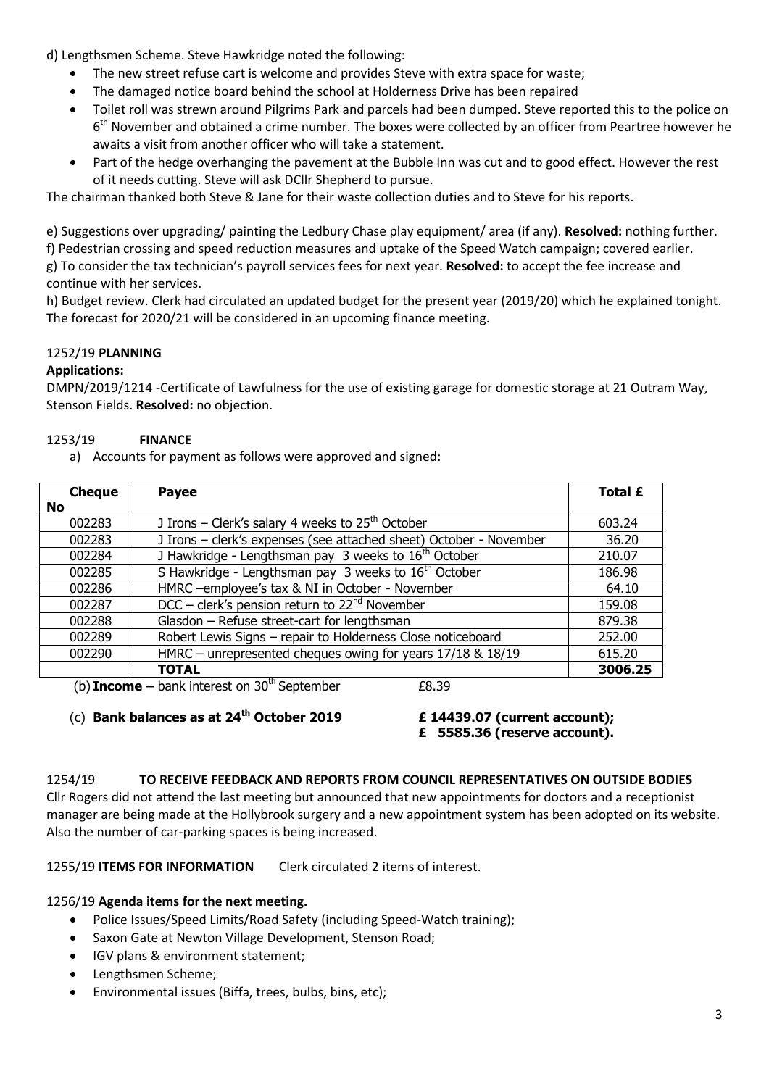d) Lengthsmen Scheme. Steve Hawkridge noted the following:

- The new street refuse cart is welcome and provides Steve with extra space for waste;
- The damaged notice board behind the school at Holderness Drive has been repaired
- Toilet roll was strewn around Pilgrims Park and parcels had been dumped. Steve reported this to the police on 6<sup>th</sup> November and obtained a crime number. The boxes were collected by an officer from Peartree however he awaits a visit from another officer who will take a statement.
- Part of the hedge overhanging the pavement at the Bubble Inn was cut and to good effect. However the rest of it needs cutting. Steve will ask DCllr Shepherd to pursue.

The chairman thanked both Steve & Jane for their waste collection duties and to Steve for his reports.

e) Suggestions over upgrading/ painting the Ledbury Chase play equipment/ area (if any). **Resolved:** nothing further. f) Pedestrian crossing and speed reduction measures and uptake of the Speed Watch campaign; covered earlier. g) To consider the tax technician's payroll services fees for next year. **Resolved:** to accept the fee increase and continue with her services.

h) Budget review. Clerk had circulated an updated budget for the present year (2019/20) which he explained tonight. The forecast for 2020/21 will be considered in an upcoming finance meeting.

# 1252/19 **PLANNING**

## **Applications:**

DMPN/2019/1214 -Certificate of Lawfulness for the use of existing garage for domestic storage at 21 Outram Way, Stenson Fields. **Resolved:** no objection.

# 1253/19 **FINANCE**

a) Accounts for payment as follows were approved and signed:

| <b>Cheque</b> | <b>Payee</b>                                                       | <b>Total £</b> |
|---------------|--------------------------------------------------------------------|----------------|
| <b>No</b>     |                                                                    |                |
| 002283        | J Irons – Clerk's salary 4 weeks to $25th$ October                 | 603.24         |
| 002283        | J Irons - clerk's expenses (see attached sheet) October - November | 36.20          |
| 002284        | J Hawkridge - Lengthsman pay 3 weeks to $16th$ October             | 210.07         |
| 002285        | S Hawkridge - Lengthsman pay 3 weeks to 16 <sup>th</sup> October   | 186.98         |
| 002286        | HMRC -employee's tax & NI in October - November                    | 64.10          |
| 002287        | $DCC - clerk's pension return to 22nd November$                    | 159.08         |
| 002288        | Glasdon - Refuse street-cart for lengthsman                        | 879.38         |
| 002289        | Robert Lewis Signs - repair to Holderness Close noticeboard        | 252.00         |
| 002290        | HMRC - unrepresented cheques owing for years 17/18 & 18/19         | 615.20         |
|               | <b>TOTAL</b><br>$1.1 -$                                            | 3006.25        |

(b) **Income** – bank interest on  $30<sup>th</sup>$  September  $£8.39$ 

(c) **Bank balances as at 24th October 2019 £ 14439.07 (current account);** 

**£ 5585.36 (reserve account).**

## 1254/19 **TO RECEIVE FEEDBACK AND REPORTS FROM COUNCIL REPRESENTATIVES ON OUTSIDE BODIES**

Cllr Rogers did not attend the last meeting but announced that new appointments for doctors and a receptionist manager are being made at the Hollybrook surgery and a new appointment system has been adopted on its website. Also the number of car-parking spaces is being increased.

1255/19 **ITEMS FOR INFORMATION** Clerk circulated 2 items of interest.

## 1256/19 **Agenda items for the next meeting.**

- Police Issues/Speed Limits/Road Safety (including Speed-Watch training);
- Saxon Gate at Newton Village Development, Stenson Road;
- IGV plans & environment statement;
- Lengthsmen Scheme;
- Environmental issues (Biffa, trees, bulbs, bins, etc);